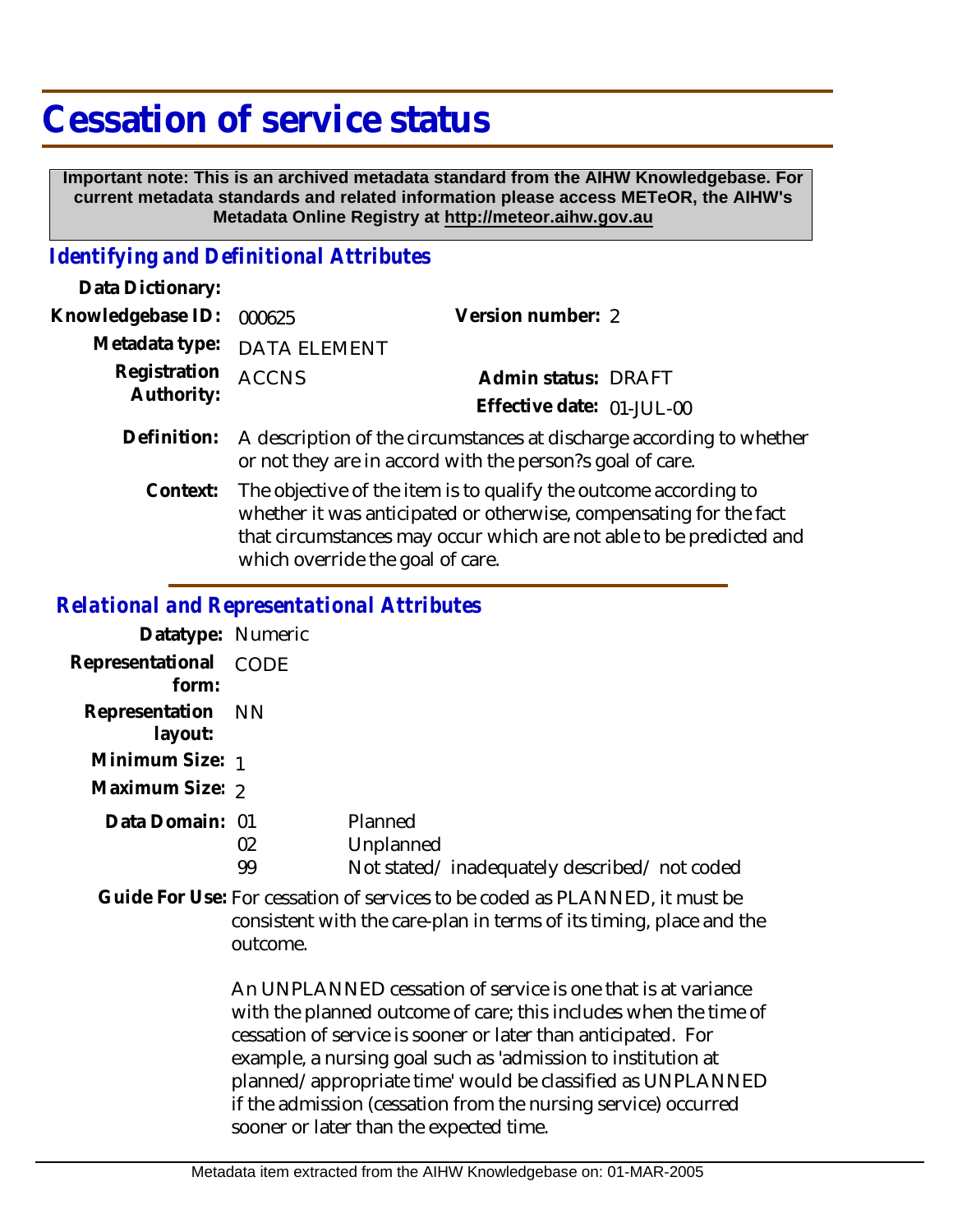## **Cessation of service status**

 **Important note: This is an archived metadata standard from the AIHW Knowledgebase. For current metadata standards and related information please access METeOR, the AIHW's Metadata Online Registry at http://meteor.aihw.gov.au**

## *Identifying and Definitional Attributes*

| Data Dictionary:           |                                                                                                                                   |                                                  |  |
|----------------------------|-----------------------------------------------------------------------------------------------------------------------------------|--------------------------------------------------|--|
| Knowledgebase ID:          | 000625                                                                                                                            | Version number: 2                                |  |
|                            | Metadata type: DATA ELEMENT                                                                                                       |                                                  |  |
| Registration<br>Authority: | <b>ACCNS</b>                                                                                                                      | Admin status: DRAFT<br>Effective date: 01-JUL-00 |  |
| Definition:                | A description of the circumstances at discharge according to whether<br>or not they are in accord with the person?s goal of care. |                                                  |  |
|                            |                                                                                                                                   |                                                  |  |

The objective of the item is to qualify the outcome according to whether it was anticipated or otherwise, compensating for the fact that circumstances may occur which are not able to be predicted and which override the goal of care. **Context:**

## *Relational and Representational Attributes*

| Datatype: Numeric              |          |                                                                     |
|--------------------------------|----------|---------------------------------------------------------------------|
| Representational CODE<br>form: |          |                                                                     |
| Representation NN<br>layout:   |          |                                                                     |
| Minimum Size: 1                |          |                                                                     |
| Maximum Size: 2                |          |                                                                     |
| Data Domain: 01                | 02<br>99 | Planned<br>Unplanned<br>Not stated/inadequately described/not coded |

Guide For Use: For cessation of services to be coded as PLANNED, it must be consistent with the care-plan in terms of its timing, place and the outcome.

> An UNPLANNED cessation of service is one that is at variance with the planned outcome of care; this includes when the time of cessation of service is sooner or later than anticipated. For example, a nursing goal such as 'admission to institution at planned/appropriate time' would be classified as UNPLANNED if the admission (cessation from the nursing service) occurred sooner or later than the expected time.